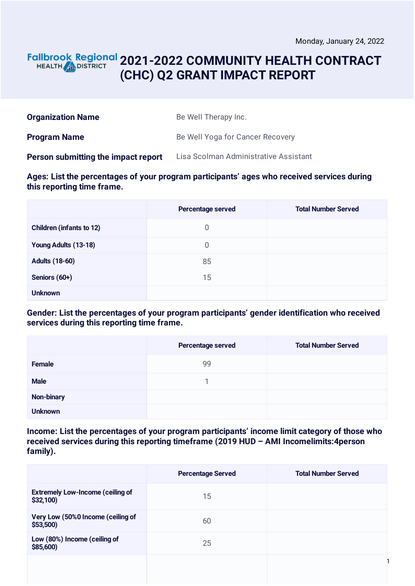### **2021-2022 COMMUNITY HEALTH CONTRACT** HEALTH **AND DISTRICT (CHC) Q2 GRANT IMPACT REPORT**

| <b>Organization Name</b>            | Be Well Therapy Inc.                  |
|-------------------------------------|---------------------------------------|
| <b>Program Name</b>                 | Be Well Yoga for Cancer Recovery      |
| Person submitting the impact report | Lisa Scolman Administrative Assistant |

#### **Ages: List the percentages of your program participants' ages who received services during this reporting time frame.**

|                                 | Percentage served | <b>Total Number Served</b> |
|---------------------------------|-------------------|----------------------------|
| <b>Children (infants to 12)</b> | 0                 |                            |
| Young Adults (13-18)            | $\overline{0}$    |                            |
| <b>Adults (18-60)</b>           | 85                |                            |
| Seniors (60+)                   | 15                |                            |
| <b>Unknown</b>                  |                   |                            |

#### **Gender: List the percentages of your program participants' gender identification who received services during this reporting time frame.**

|                   | Percentage served | <b>Total Number Served</b> |
|-------------------|-------------------|----------------------------|
| Female            | 99                |                            |
| <b>Male</b>       |                   |                            |
| <b>Non-binary</b> |                   |                            |
| <b>Unknown</b>    |                   |                            |

### **Income: List the percentages of your program participants' income limit category of those who received services during this reporting timeframe (2019 HUD – AMI Incomelimits:4person family).**

|                                                     | <b>Percentage Served</b> | <b>Total Number Served</b> |
|-----------------------------------------------------|--------------------------|----------------------------|
| <b>Extremely Low-Income (ceiling of</b><br>\$32,100 | 15                       |                            |
| Very Low (50%0 Income (ceiling of<br>$$53,500$ )    | 60                       |                            |
| Low (80%) Income (ceiling of<br>\$85,600)           | 25                       |                            |
|                                                     |                          |                            |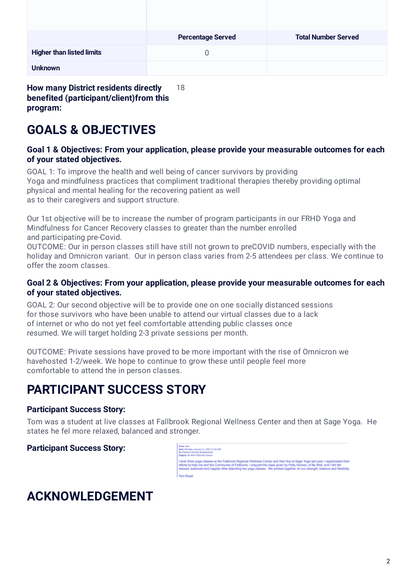|                                  | <b>Percentage Served</b> | <b>Total Number Served</b> |
|----------------------------------|--------------------------|----------------------------|
| <b>Higher than listed limits</b> | O                        |                            |
| <b>Unknown</b>                   |                          |                            |

**How many District residents directly benefited (participant/client)from this program:** 18

## **GOALS & OBJECTIVES**

### **Goal 1 & Objectives: From your application, please provide your measurable outcomes for each of your stated objectives.**

GOAL 1: To improve the health and well being of cancer survivors by providing Yoga and mindfulness practices that compliment traditional therapies thereby providing optimal physical and mental healing for the recovering patient as well as to their caregivers and support structure.

Our 1st objective will be to increase the number of program participants in our FRHD Yoga and Mindfulness for Cancer Recovery classes to greater than the number enrolled and participating pre-Covid.

OUTCOME: Our in person classes still have still not grown to preCOVID numbers, especially with the holiday and Omnicron variant. Our in person class varies from 2-5 attendees per class. We continue to offer the zoom classes.

### **Goal 2 & Objectives: From your application, please provide your measurable outcomes for each of your stated objectives.**

GOAL 2: Our second objective will be to provide one on one socially distanced sessions for those survivors who have been unable to attend our virtual classes due to a lack of internet or who do not yet feel comfortable attending public classes once resumed. We will target holding 2-3 private sessions per month.

OUTCOME: Private sessions have proved to be more important with the rise of Omnicron we havehosted 1-2/week. We hope to continue to grow these until people feel more comfortable to attend the in person classes.

## **PARTICIPANT SUCCESS STORY**

### **Participant Success Story:**

Tom was a student at live classes at Fallbrook Regional Wellness Center and then at Sage Yoga. He states he fel more relaxed, balanced and stronger.

**Participant Success Story:**

### Asset Tom<br>Sent Monday, Jenuary 11, 2022 11:25 AM<br>Tai Patricia Gomez Bustamante<br>Sabiact: Ni Well Fallbrock Classes

.<br>I look three yoga classes at the Fallbrook Regional Wellness Center and then five at Sage Yoga last year. I appreci<br>efforts to help me and the Community of Fallbrook. I enjoyed the class given by Patty Gomez, of Be Well,

# **ACKNOWLEDGEMENT**